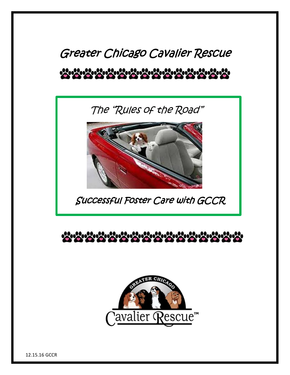# Greater Chicago Cavalier Rescue \*\*\*\*\*\*\*\*\*\*\*\*\*\*\*

The "Rules of the Road"



Successful Foster Care with GCCR





12.15.16 GCCR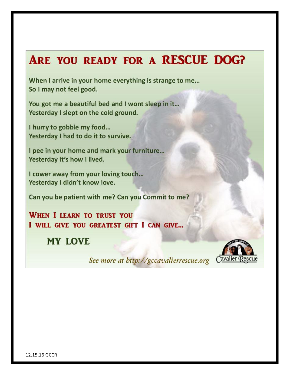# ARE YOU READY FOR A RESCUE DOG?

When I arrive in your home everything is strange to me... So I may not feel good.

You got me a beautiful bed and I wont sleep in it... Yesterday I slept on the cold ground.

I hurry to gobble my food... Yesterday I had to do it to survive.

I pee in your home and mark your furniture... Yesterday it's how I lived.

I cower away from your loving touch... Yesterday I didn't know love.

Can you be patient with me? Can you Commit to me?

**WHEN I LEARN TO TRUST YOU** I WILL GIVE YOU GREATEST GIFT I CAN GIVE...

**MY LOVE** 

Cavalier Rescue

See more at http://gccavalierrescue.org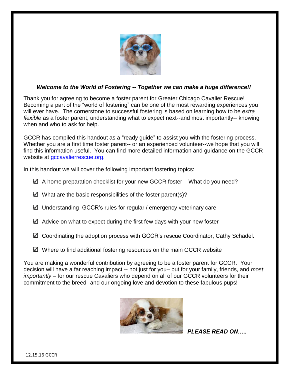

#### *Welcome to the World of Fostering -- Together we can make a huge difference!!*

Thank you for agreeing to become a foster parent for Greater Chicago Cavalier Rescue! Becoming a part of the "world of fostering" can be one of the most rewarding experiences you will ever have. The cornerstone to successful fostering is based on learning how to be *extra flexible* as a foster parent, understanding what to expect next--and most importantly-- knowing when and who to ask for help.

GCCR has compiled this handout as a "ready guide" to assist you with the fostering process. Whether you are a first time foster parent-- or an experienced volunteer--we hope that you will find this information useful. You can find more detailed information and guidance on the GCCR website at [gccavalierrescue.org.](file://///hospira.corp/usershares/HQ/10166743$/Mannarelli/GCCR/gccavalierrescue.org)

In this handout we will cover the following important fostering topics:

- $\boxtimes$  A home preparation checklist for your new GCCR foster What do you need?
- $\Delta$  What are the basic responsibilities of the foster parent(s)?
- Understanding GCCR's rules for regular / emergency veterinary care
- $\boxtimes$  Advice on what to expect during the first few days with your new foster
- Coordinating the adoption process with GCCR's rescue Coordinator, Cathy Schadel.
- $\Box$  Where to find additional fostering resources on the main GCCR website

You are making a wonderful contribution by agreeing to be a foster parent for GCCR. Your decision will have a far reaching impact -- not just for you– but for your family, friends, and *most importantly* – for our rescue Cavaliers who depend on all of our GCCR volunteers for their commitment to the breed--and our ongoing love and devotion to these fabulous pups!



*PLEASE READ ON…..*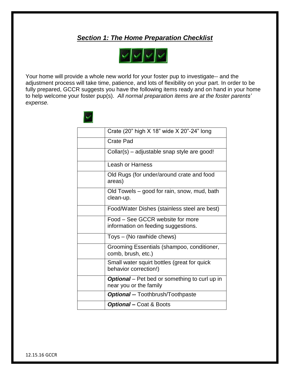## *Section 1: The Home Preparation Checklist*



Your home will provide a whole new world for your foster pup to investigate-- and the adjustment process will take time, patience, and lots of flexibility on your part. In order to be fully prepared, GCCR suggests you have the following items ready and on hand in your home to help welcome your foster pup(s). *All normal preparation items are at the foster parents' expense.*

| Crate (20" high X 18" wide X 20"-24" long                                      |
|--------------------------------------------------------------------------------|
| <b>Crate Pad</b>                                                               |
| Collar(s) – adjustable snap style are good!                                    |
| <b>Leash or Harness</b>                                                        |
| Old Rugs (for under/around crate and food<br>areas)                            |
| Old Towels – good for rain, snow, mud, bath<br>clean-up.                       |
| Food/Water Dishes (stainless steel are best)                                   |
| Food - See GCCR website for more<br>information on feeding suggestions.        |
| Toys - (No rawhide chews)                                                      |
| Grooming Essentials (shampoo, conditioner,<br>comb, brush, etc.)               |
| Small water squirt bottles (great for quick<br>behavior correction!)           |
| <b>Optional</b> – Pet bed or something to curl up in<br>near you or the family |
| <b>Optional -- Toothbrush/Toothpaste</b>                                       |
| <b>Optional</b> – Coat & Boots                                                 |

12.15.16 GCCR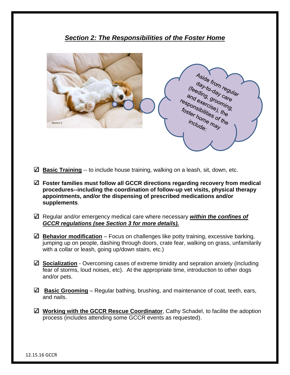

*Section 2: The Responsibilities of the Foster Home*

- **Basic Training** -- to include house training, walking on a leash, sit, down, etc.
- **Foster families must follow all GCCR directions regarding recovery from medical procedures--including the coordination of follow-up vet visits, physical therapy appointments, and/or the dispensing of prescribed medications and/or supplements**.
- Regular and/or emergency medical care where necessary *within the confines of GCCR regulations (see Section 3 for more details).*
- **Behavior modification** Focus on challenges like potty training, excessive barking, jumping up on people, dashing through doors, crate fear, walking on grass, unfamilarily with a collar or leash, going up/down stairs, etc.)
- **Socialization** Overcoming cases of extreme timidity and sepration anxiety (including fear of storms, loud noises, etc). At the appropriate time, introduction to other dogs and/or pets.
- **Basic Grooming** Regular bathing, brushing, and maintenance of coat, teeth, ears, and nails.
- **Working with the GCCR Rescue Coordinator**, Cathy Schadel, to facilite the adoption process (includes attending some GCCR events as requested).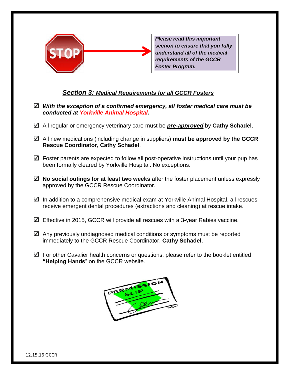

*Please read this important section to ensure that you fully understand all of the medical requirements of the GCCR Foster Program.* 

#### *Section 3: Medical Requirements for all GCCR Fosters*

- *With the exception of a confirmed emergency, all foster medical care must be conducted at Yorkville Animal Hospital.*
- All regular or emergency veterinary care must be *pre-approved* by **Cathy Schadel**.
- All new medications (including change in suppliers) **must be approved by the GCCR Rescue Coordinator, Cathy Schadel**.
- $\Box$  Foster parents are expected to follow all post-operative instructions until your pup has been formally cleared by Yorkville Hospital. No exceptions.
- **No social outings for at least two weeks** after the foster placement unless expressly approved by the GCCR Rescue Coordinator.
- $\Box$  In addition to a comprehensive medical exam at Yorkville Animal Hospital, all rescues receive emergent dental procedures (extractions and cleaning) at rescue intake.
- Effective in 2015, GCCR will provide all rescues with a 3-year Rabies vaccine.
- $\Box$  Any previously undiagnosed medical conditions or symptoms must be reported immediately to the GCCR Rescue Coordinator, **Cathy Schadel**.
- $\Box$  For other Cavalier health concerns or questions, please refer to the booklet entitled **"Helping Hands**" on the GCCR website.

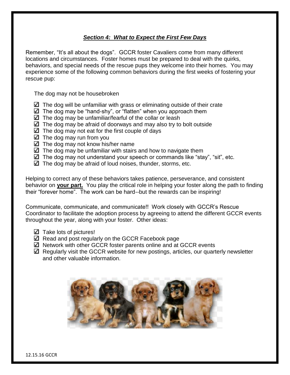#### *Section 4: What to Expect the First Few Days*

Remember, "It's all about the dogs". GCCR foster Cavaliers come from many different locations and circumstances. Foster homes must be prepared to deal with the quirks, behaviors, and special needs of the rescue pups they welcome into their homes. You may experience some of the following common behaviors during the first weeks of fostering your rescue pup:

The dog may not be housebroken

- $\Box$  The dog will be unfamiliar with grass or eliminating outside of their crate
- $\Box$  The dog may be "hand-shy", or "flatten" when you approach them
- $\Box$  The dog may be unfamiliar/fearful of the collar or leash
- $\Box$  The dog may be afraid of doorways and may also try to bolt outside
- $\Box$  The dog may not eat for the first couple of days
- $\boxtimes$  The dog may run from you
- $\Box$  The dog may not know his/her name
- $\Box$  The dog may be unfamiliar with stairs and how to navigate them
- $\Box$  The dog may not understand your speech or commands like "stay", "sit", etc.
- $\boxtimes$  The dog may be afraid of loud noises, thunder, storms, etc.

Helping to correct any of these behaviors takes patience, perseverance, and consistent behavior on **your part.** You play the critical role in helping your foster along the path to finding their "forever home". The work can be hard--but the rewards can be inspiring!

Communicate, communicate, and communicate!! Work closely with GCCR's Rescue Coordinator to facilitate the adoption process by agreeing to attend the different GCCR events throughout the year, along with your foster. Other ideas:

- $\Box$  Take lots of pictures!
- Read and post regularly on the GCCR Facebook page
- $\boxtimes$  Network with other GCCR foster parents online and at GCCR events
- $\boxtimes$  Regularly visit the GCCR website for new postings, articles, our quarterly newsletter and other valuable information.

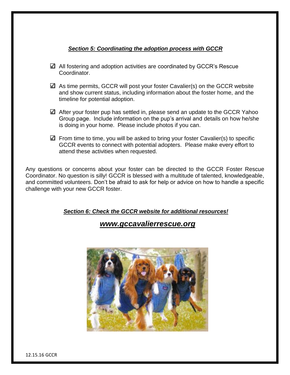#### *Section 5: Coordinating the adoption process with GCCR*

- All fostering and adoption activities are coordinated by GCCR's Rescue Coordinator.
- $\boxtimes$  As time permits, GCCR will post your foster Cavalier(s) on the GCCR website and show current status, including information about the foster home, and the timeline for potential adoption.
- $\Box$  After your foster pup has settled in, please send an update to the GCCR Yahoo Group page. Include information on the pup's arrival and details on how he/she is doing in your home. Please include photos if you can.
- $\Box$  From time to time, you will be asked to bring your foster Cavalier(s) to specific GCCR events to connect with potential adopters. Please make every effort to attend these activities when requested.

Any questions or concerns about your foster can be directed to the GCCR Foster Rescue Coordinator. No question is silly! GCCR is blessed with a multitude of talented, knowledgeable, and committed volunteers. Don't be afraid to ask for help or advice on how to handle a specific challenge with your new GCCR foster.

*Section 6: Check the GCCR website for additional resources!*

### *www.gccavalierrescue.org*